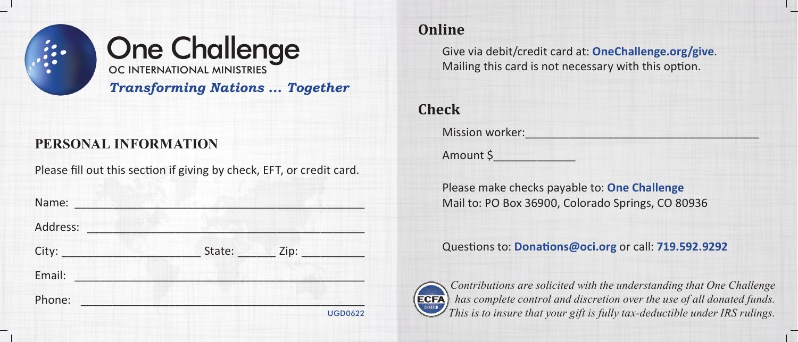



*Transforming Nations ... Together*

#### **PERSONAL INFORMATION**

Please fill out this section if giving by check, EFT, or credit card.

| Name:    |        |      |                |
|----------|--------|------|----------------|
| Address: |        |      |                |
| City:    | State: | Zip: |                |
| Email:   |        |      |                |
| Phone:   |        |      |                |
|          |        |      | <b>UGD0622</b> |

## **Online**

Give via debit/credit card at: **OneChallenge.org/give**. Mailing this card is not necessary with this option.

# **Check**

Mission worker:

Amount \$\_\_\_\_\_\_\_\_\_\_\_\_\_

Please make checks payable to: **One Challenge** Mail to: PO Box 36900, Colorado Springs, CO 80936

Questions to: **Donations@oci.org** or call: **719.592.9292**



*Contributions are solicited with the understanding that One Challenge has complete control and discretion over the use of all donated funds. This is to insure that your gift is fully tax-deductible under IRS rulings.*